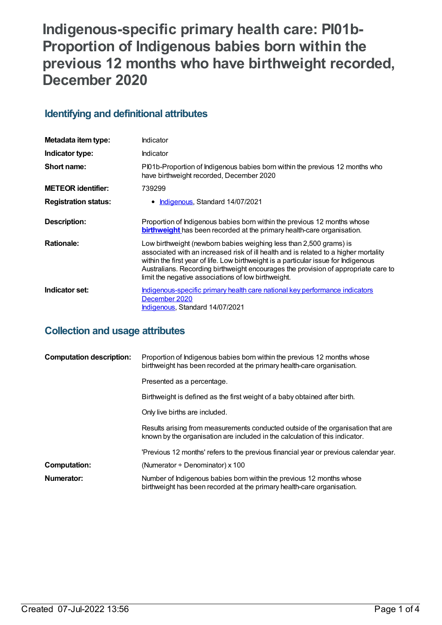# **Indigenous-specific primary health care: PI01b-Proportion of Indigenous babies born within the previous 12 months who have birthweight recorded, December 2020**

## **Identifying and definitional attributes**

| Metadata item type:         | Indicator                                                                                                                                                                                                                                                                                                                                                                                      |
|-----------------------------|------------------------------------------------------------------------------------------------------------------------------------------------------------------------------------------------------------------------------------------------------------------------------------------------------------------------------------------------------------------------------------------------|
| Indicator type:             | Indicator                                                                                                                                                                                                                                                                                                                                                                                      |
| Short name:                 | Pl01b-Proportion of Indigenous babies born within the previous 12 months who<br>have birthweight recorded, December 2020                                                                                                                                                                                                                                                                       |
| <b>METEOR</b> identifier:   | 739299                                                                                                                                                                                                                                                                                                                                                                                         |
| <b>Registration status:</b> | <b>Indigenous, Standard 14/07/2021</b>                                                                                                                                                                                                                                                                                                                                                         |
| <b>Description:</b>         | Proportion of Indigenous babies born within the previous 12 months whose<br><b>birthweight</b> has been recorded at the primary health-care organisation.                                                                                                                                                                                                                                      |
| <b>Rationale:</b>           | Low birthweight (newborn babies weighing less than 2,500 grams) is<br>associated with an increased risk of ill health and is related to a higher mortality<br>within the first year of life. Low birthweight is a particular issue for Indigenous<br>Australians. Recording birthweight encourages the provision of appropriate care to<br>limit the negative associations of low birthweight. |
| Indicator set:              | Indigenous-specific primary health care national key performance indicators<br>December 2020<br>Indigenous, Standard 14/07/2021                                                                                                                                                                                                                                                                |

## **Collection and usage attributes**

| <b>Computation description:</b> | Proportion of Indigenous babies born within the previous 12 months whose<br>birthweight has been recorded at the primary health-care organisation.               |
|---------------------------------|------------------------------------------------------------------------------------------------------------------------------------------------------------------|
|                                 | Presented as a percentage.                                                                                                                                       |
|                                 | Birthweight is defined as the first weight of a baby obtained after birth.                                                                                       |
|                                 | Only live births are included.                                                                                                                                   |
|                                 | Results arising from measurements conducted outside of the organisation that are<br>known by the organisation are included in the calculation of this indicator. |
|                                 | 'Previous 12 months' refers to the previous financial year or previous calendar year.                                                                            |
| Computation:                    | (Numerator $\div$ Denominator) x 100                                                                                                                             |
| Numerator:                      | Number of Indigenous babies born within the previous 12 months whose<br>birthweight has been recorded at the primary health-care organisation.                   |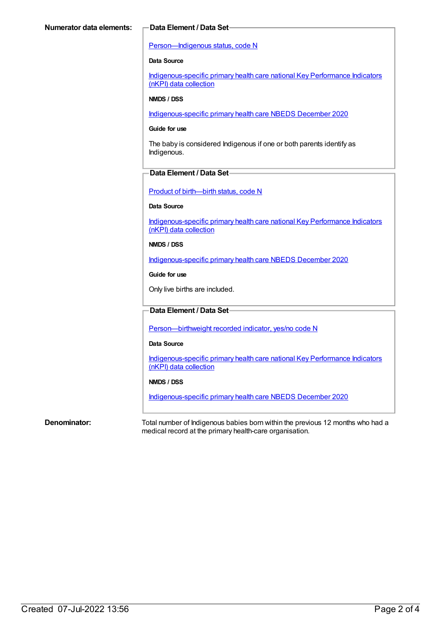#### [Person—Indigenous](https://meteor.aihw.gov.au/content/602543) status, code N

#### **Data Source**

[Indigenous-specific](https://meteor.aihw.gov.au/content/737914) primary health care national Key Performance Indicators (nKPI) data collection

#### **NMDS / DSS**

[Indigenous-specific](https://meteor.aihw.gov.au/content/738532) primary health care NBEDS December 2020

#### **Guide for use**

The baby is considered Indigenous if one or both parents identify as Indigenous.

### **Data Element / Data Set**

Product of [birth—birth](https://meteor.aihw.gov.au/content/695437) status, code N

#### **Data Source**

[Indigenous-specific](https://meteor.aihw.gov.au/content/737914) primary health care national Key Performance Indicators (nKPI) data collection

#### **NMDS / DSS**

[Indigenous-specific](https://meteor.aihw.gov.au/content/738532) primary health care NBEDS December 2020

#### **Guide for use**

Only live births are included.

### **Data Element / Data Set**

[Person—birthweight](https://meteor.aihw.gov.au/content/709571) recorded indicator, yes/no code N

#### **Data Source**

[Indigenous-specific](https://meteor.aihw.gov.au/content/737914) primary health care national Key Performance Indicators (nKPI) data collection

#### **NMDS / DSS**

[Indigenous-specific](https://meteor.aihw.gov.au/content/738532) primary health care NBEDS December 2020

**Denominator:** Total number of Indigenous babies born within the previous 12 months who had a medical record at the primary health-care organisation.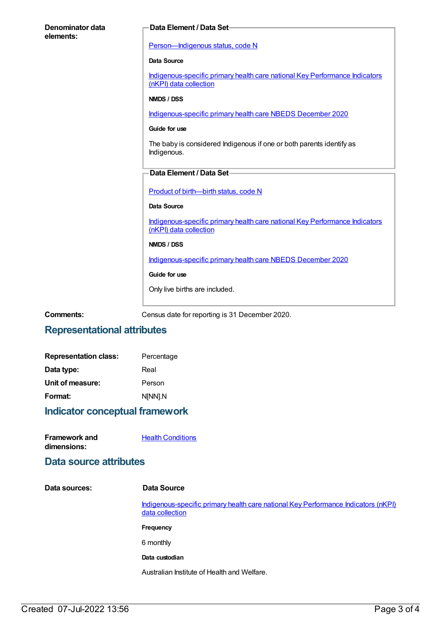| Denominator data | Data Element / Data Set-                                                                              |
|------------------|-------------------------------------------------------------------------------------------------------|
| elements:        |                                                                                                       |
|                  | Person-Indigenous status, code N                                                                      |
|                  | Data Source                                                                                           |
|                  | Indigenous-specific primary health care national Key Performance Indicators<br>(nKPI) data collection |
|                  | <b>NMDS / DSS</b>                                                                                     |
|                  | Indigenous-specific primary health care NBEDS December 2020                                           |
|                  | Guide for use                                                                                         |
|                  | The baby is considered Indigenous if one or both parents identify as<br>Indigenous.                   |
|                  | Data Element / Data Set-                                                                              |
|                  |                                                                                                       |
|                  | Product of birth-birth status, code N                                                                 |
|                  | Data Source                                                                                           |
|                  | Indigenous-specific primary health care national Key Performance Indicators<br>(nKPI) data collection |
|                  | NMDS / DSS                                                                                            |
|                  | Indigenous-specific primary health care NBEDS December 2020                                           |
|                  | Guide for use                                                                                         |
|                  | Only live births are included.                                                                        |
|                  |                                                                                                       |

**Comments:** Census date for reporting is 31 December 2020.

## **Representational attributes**

| <b>Representation class:</b> | Percentage |
|------------------------------|------------|
| Data type:                   | Real       |
| Unit of measure:             | Person     |
| Format:                      | N[NN].N    |
|                              |            |

## **Indicator conceptual framework**

| <b>Framework and</b> | <b>Health Conditions</b> |
|----------------------|--------------------------|
| dimensions:          |                          |

### **Data source attributes**

| Data sources: | Data Source                                                                                           |
|---------------|-------------------------------------------------------------------------------------------------------|
|               | Indigenous-specific primary health care national Key Performance Indicators (nKPI)<br>data collection |
|               | Frequency                                                                                             |
|               | 6 monthly                                                                                             |
|               | Data custodian                                                                                        |
|               | Australian Institute of Health and Welfare.                                                           |